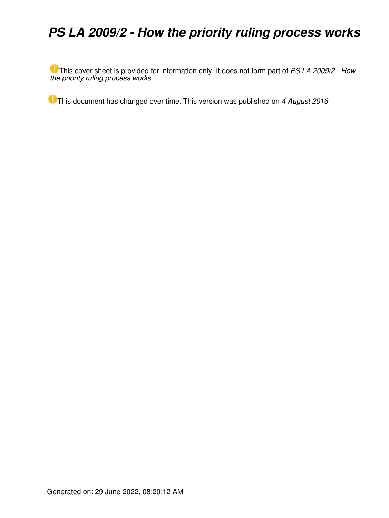## *PS LA 2009/2 - How the priority ruling process works*

This cover sheet is provided for information only. It does not form part of *PS LA 2009/2 - How the priority ruling process works*

This document has changed over time. This version was published on *4 August 2016*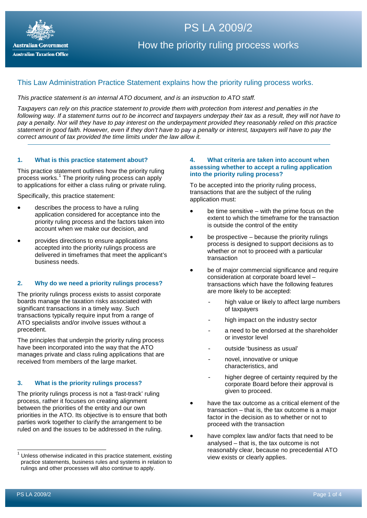

# PS LA 2009/2 How the priority ruling process works

### This Law Administration Practice Statement explains how the priority ruling process works.

#### *This practice statement is an internal ATO document, and is an instruction to ATO staff.*

*Taxpayers can rely on this practice statement to provide them with protection from interest and penalties in the following way. If a statement turns out to be incorrect and taxpayers underpay their tax as a result, they will not have to pay a penalty. Nor will they have to pay interest on the underpayment provided they reasonably relied on this practice statement in good faith. However, even if they don't have to pay a penalty or interest, taxpayers will have to pay the correct amount of tax provided the time limits under the law allow it.*

#### **1. What is this practice statement about?**

This practice statement outlines how the priority ruling process works. [1](#page-1-0) The priority ruling process can apply to applications for either a class ruling or private ruling.

Specifically, this practice statement:

- describes the process to have a ruling application considered for acceptance into the priority ruling process and the factors taken into account when we make our decision, and
- provides directions to ensure applications accepted into the priority rulings process are delivered in timeframes that meet the applicant's business needs.

#### **2. Why do we need a priority rulings process?**

The priority rulings process exists to assist corporate boards manage the taxation risks associated with significant transactions in a timely way. Such transactions typically require input from a range of ATO specialists and/or involve issues without a precedent.

The principles that underpin the priority ruling process have been incorporated into the way that the ATO manages private and class ruling applications that are received from members of the large market.

#### **3. What is the priority rulings process?**

The priority rulings process is not a 'fast-track' ruling process, rather it focuses on creating alignment between the priorities of the entity and our own priorities in the ATO. Its objective is to ensure that both parties work together to clarify the arrangement to be ruled on and the issues to be addressed in the ruling.

#### **4. What criteria are taken into account when assessing whether to accept a ruling application into the priority ruling process?**

To be accepted into the priority ruling process, transactions that are the subject of the ruling application must:

- be time sensitive with the prime focus on the extent to which the timeframe for the transaction is outside the control of the entity
- be prospective because the priority rulings process is designed to support decisions as to whether or not to proceed with a particular transaction
- be of major commercial significance and require consideration at corporate board level – transactions which have the following features are more likely to be accepted:
	- high value or likely to affect large numbers of taxpayers
	- high impact on the industry sector
	- a need to be endorsed at the shareholder or investor level
	- outside 'business as usual'
	- novel, innovative or unique characteristics, and
	- higher degree of certainty required by the corporate Board before their approval is given to proceed.
- have the tax outcome as a critical element of the transaction – that is, the tax outcome is a major factor in the decision as to whether or not to proceed with the transaction
- have complex law and/or facts that need to be analysed – that is, the tax outcome is not reasonably clear, because no precedential ATO view exists or clearly applies.

<span id="page-1-0"></span><sup>1</sup> Unless otherwise indicated in this practice statement, existing practice statements, business rules and systems in relation to rulings and other processes will also continue to apply.  $\overline{\phantom{a}}$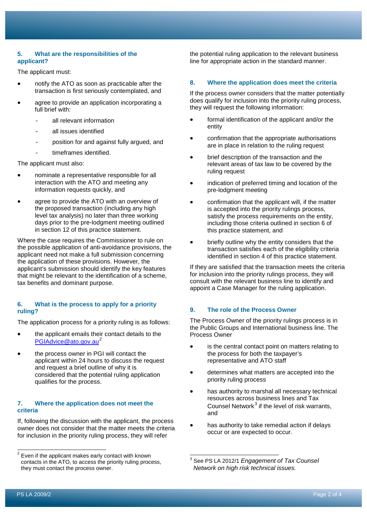#### **5. What are the responsibilities of the applicant?**

The applicant must:

- notify the ATO as soon as practicable after the transaction is first seriously contemplated, and
- agree to provide an application incorporating a full brief with:
	- all relevant information
	- all issues identified
	- position for and against fully argued, and
	- timeframes identified.

The applicant must also:

- nominate a representative responsible for all interaction with the ATO and meeting any information requests quickly, and
- agree to provide the ATO with an overview of the proposed transaction (including any high level tax analysis) no later than three working days prior to the pre-lodgment meeting outlined in section 12 of this practice statement.

Where the case requires the Commissioner to rule on the possible application of anti-avoidance provisions, the applicant need not make a full submission concerning the application of these provisions. However, the applicant's submission should identify the key features that might be relevant to the identification of a scheme, tax benefits and dominant purpose.

#### **6. What is the process to apply for a priority ruling?**

The application process for a priority ruling is as follows:

- the applicant emails their contact details to the [PGIAdvice@ato.gov.au](mailto:PGIAdvice@ato.gov.au)<sup>[2](#page-2-0)</sup>
- the process owner in PGI will contact the applicant within 24 hours to discuss the request and request a brief outline of why it is considered that the potential ruling application qualifies for the process.

#### **7. Where the application does not meet the criteria**

If, following the discussion with the applicant, the process owner does not consider that the matter meets the criteria for inclusion in the priority ruling process, they will refer

the potential ruling application to the relevant business line for appropriate action in the standard manner.

#### **8. Where the application does meet the criteria**

If the process owner considers that the matter potentially does qualify for inclusion into the priority ruling process, they will request the following information:

- formal identification of the applicant and/or the entity
- confirmation that the appropriate authorisations are in place in relation to the ruling request
- brief description of the transaction and the relevant areas of tax law to be covered by the ruling request
- indication of preferred timing and location of the pre-lodgment meeting
- confirmation that the applicant will, if the matter is accepted into the priority rulings process, satisfy the process requirements on the entity, including those criteria outlined in section 6 of this practice statement, and
- briefly outline why the entity considers that the transaction satisfies each of the eligibility criteria identified in section 4 of this practice statement.

If they are satisfied that the transaction meets the criteria for inclusion into the priority rulings process, they will consult with the relevant business line to identify and appoint a Case Manager for the ruling application.

#### **9. The role of the Process Owner**

The Process Owner of the priority rulings process is in the Public Groups and International business line. The Process Owner

- is the central contact point on matters relating to the process for both the taxpayer's representative and ATO staff
- determines what matters are accepted into the priority ruling process
- has authority to marshal all necessary technical resources across business lines and Tax Counsel Network $3$  if the level of risk warrants, and
- has authority to take remedial action if delays occur or are expected to occur.

 $\overline{a}$ 

<span id="page-2-1"></span><span id="page-2-0"></span> $2$  Even if the applicant makes early contact with known contacts in the ATO, to access the priority ruling process, they must contact the process owner.

<sup>3</sup> See PS LA 2012/1 *Engagement of Tax Counsel Network on high risk technical issues.*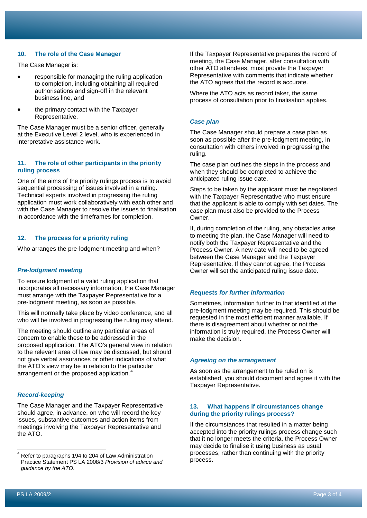#### **10. The role of the Case Manager**

The Case Manager is:

- responsible for managing the ruling application to completion, including obtaining all required authorisations and sign-off in the relevant business line, and
- the primary contact with the Taxpayer Representative.

The Case Manager must be a senior officer, generally at the Executive Level 2 level, who is experienced in interpretative assistance work.

#### **11. The role of other participants in the priority ruling process**

One of the aims of the priority rulings process is to avoid sequential processing of issues involved in a ruling. Technical experts involved in progressing the ruling application must work collaboratively with each other and with the Case Manager to resolve the issues to finalisation in accordance with the timeframes for completion.

#### **12. The process for a priority ruling**

Who arranges the pre-lodgment meeting and when?

#### *Pre-lodgment meeting*

To ensure lodgment of a valid ruling application that incorporates all necessary information, the Case Manager must arrange with the Taxpayer Representative for a pre-lodgment meeting, as soon as possible.

This will normally take place by video conference, and all who will be involved in progressing the ruling may attend.

The meeting should outline any particular areas of concern to enable these to be addressed in the proposed application. The ATO's general view in relation to the relevant area of law may be discussed, but should not give verbal assurances or other indications of what the ATO's view may be in relation to the particular arrangement or the proposed application.<sup>[4](#page-3-0)</sup>

#### *Record-keeping*

The Case Manager and the Taxpayer Representative should agree, in advance, on who will record the key issues, substantive outcomes and action items from meetings involving the Taxpayer Representative and the ATO.

If the Taxpayer Representative prepares the record of meeting, the Case Manager, after consultation with other ATO attendees, must provide the Taxpayer Representative with comments that indicate whether the ATO agrees that the record is accurate.

Where the ATO acts as record taker, the same process of consultation prior to finalisation applies.

#### *Case plan*

The Case Manager should prepare a case plan as soon as possible after the pre-lodgment meeting, in consultation with others involved in progressing the ruling.

The case plan outlines the steps in the process and when they should be completed to achieve the anticipated ruling issue date.

Steps to be taken by the applicant must be negotiated with the Taxpayer Representative who must ensure that the applicant is able to comply with set dates. The case plan must also be provided to the Process Owner.

If, during completion of the ruling, any obstacles arise to meeting the plan, the Case Manager will need to notify both the Taxpayer Representative and the Process Owner. A new date will need to be agreed between the Case Manager and the Taxpayer Representative. If they cannot agree, the Process Owner will set the anticipated ruling issue date.

#### *Requests for further information*

Sometimes, information further to that identified at the pre-lodgment meeting may be required. This should be requested in the most efficient manner available. If there is disagreement about whether or not the information is truly required, the Process Owner will make the decision.

#### *Agreeing on the arrangement*

As soon as the arrangement to be ruled on is established, you should document and agree it with the Taxpayer Representative.

#### **13. What happens if circumstances change during the priority rulings process?**

If the circumstances that resulted in a matter being accepted into the priority rulings process change such that it no longer meets the criteria, the Process Owner may decide to finalise it using business as usual processes, rather than continuing with the priority process.

 $\overline{\phantom{a}}$ 

<span id="page-3-0"></span> $4$  Refer to paragraphs 194 to 204 of Law Administration Practice Statement PS LA 2008/3 *Provision of advice and guidance by the ATO*.